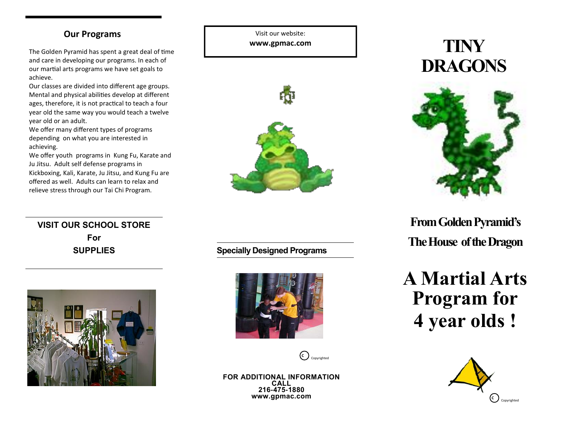### **Our Programs**

The Golden Pyramid has spent a great deal of time and care in developing our programs. In each of our martial arts programs we have set goals to achieve.

Our classes are divided into different age groups. Mental and physical abilities develop at different ages, therefore, it is not practical to teach a four year old the same way you would teach a twelve year old or an adult.

We offer many different types of programs depending on what you are interested in achieving.

We offer youth programs in Kung Fu, Karate and Ju Jitsu. Adult self defense programs in Kickboxing, Kali, Karate, Ju Jitsu, and Kung Fu are offered as well. Adults can learn to relax and relieve stress through our Tai Chi Program.

**VISIT OUR SCHOOL STORE For SUPPLIES**



Visit our website: **www.gpmac.com**



# **TINY DRAGONS**



**From Golden Pyramid's The House of the Dragon**

**A Martial Arts Program for 4 year olds !**



**Specially Designed Programs**



**C** Copyrighted

**FOR ADDITIONAL INFORMATION CALL 216-475-1880 www.gpmac.com**